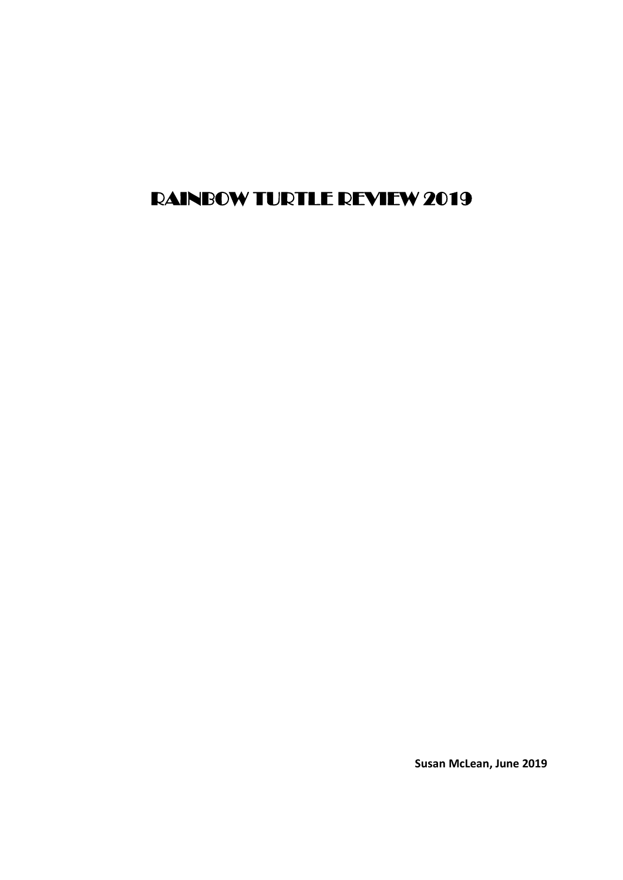# RAINBOW TURTLE REVIEW 2019

**Susan McLean, June 2019**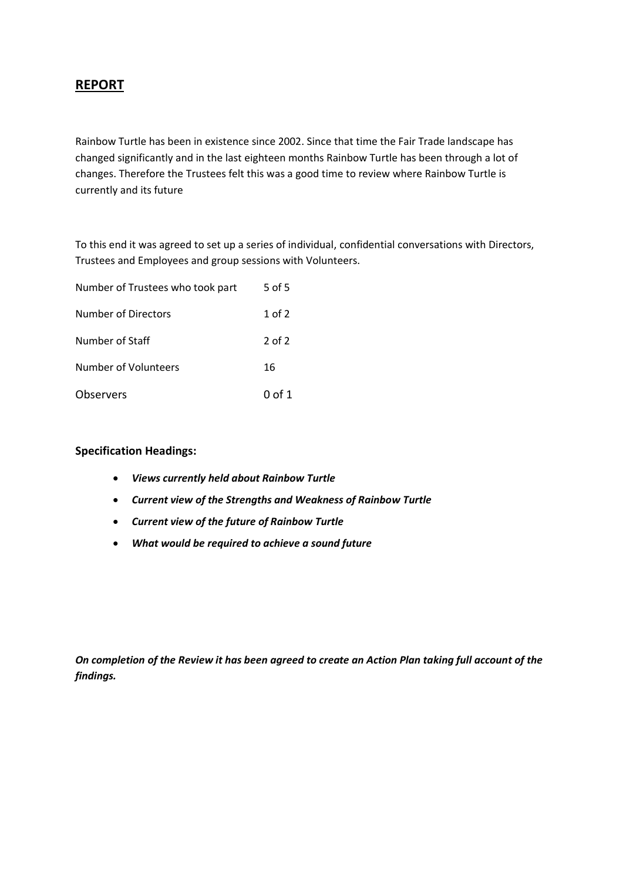# **REPORT**

Rainbow Turtle has been in existence since 2002. Since that time the Fair Trade landscape has changed significantly and in the last eighteen months Rainbow Turtle has been through a lot of changes. Therefore the Trustees felt this was a good time to review where Rainbow Turtle is currently and its future

To this end it was agreed to set up a series of individual, confidential conversations with Directors, Trustees and Employees and group sessions with Volunteers.

| Number of Trustees who took part | 5 of 5 |
|----------------------------------|--------|
| Number of Directors              | 1 of 2 |
| Number of Staff                  | 2 of 2 |
| Number of Volunteers             | 16     |
| Observers                        | 0 of 1 |

#### **Specification Headings:**

- *Views currently held about Rainbow Turtle*
- *Current view of the Strengths and Weakness of Rainbow Turtle*
- *Current view of the future of Rainbow Turtle*
- *What would be required to achieve a sound future*

*On completion of the Review it has been agreed to create an Action Plan taking full account of the findings.*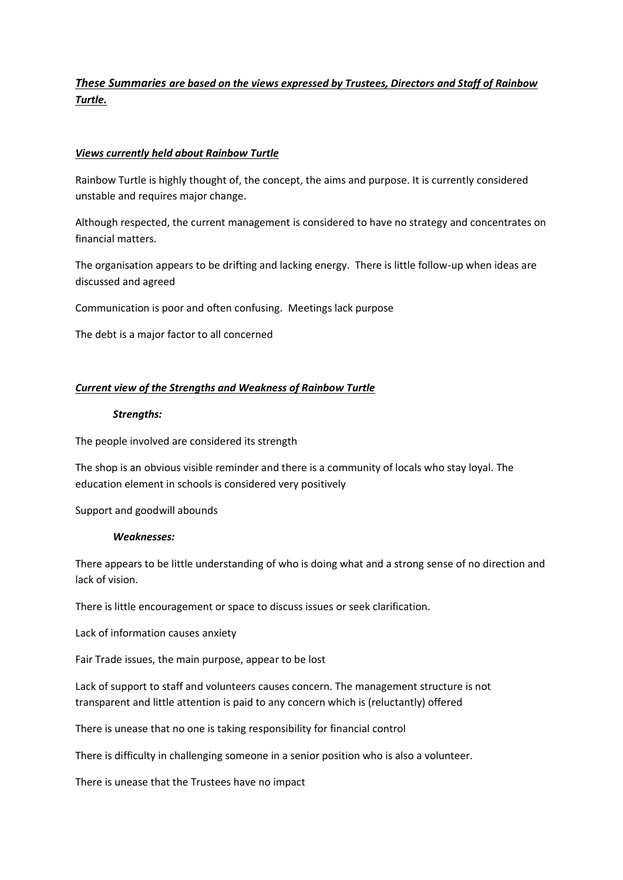# *These Summaries are based on the views expressed by Trustees, Directors and Staff of Rainbow Turtle.*

## *Views currently held about Rainbow Turtle*

Rainbow Turtle is highly thought of, the concept, the aims and purpose. It is currently considered unstable and requires major change.

Although respected, the current management is considered to have no strategy and concentrates on financial matters.

The organisation appears to be drifting and lacking energy. There is little follow-up when ideas are discussed and agreed

Communication is poor and often confusing. Meetings lack purpose

The debt is a major factor to all concerned

## *Current view of the Strengths and Weakness of Rainbow Turtle*

#### *Strengths:*

The people involved are considered its strength

The shop is an obvious visible reminder and there is a community of locals who stay loyal. The education element in schools is considered very positively

Support and goodwill abounds

#### *Weaknesses:*

There appears to be little understanding of who is doing what and a strong sense of no direction and lack of vision.

There is little encouragement or space to discuss issues or seek clarification.

Lack of information causes anxiety

Fair Trade issues, the main purpose, appear to be lost

Lack of support to staff and volunteers causes concern. The management structure is not transparent and little attention is paid to any concern which is (reluctantly) offered

There is unease that no one is taking responsibility for financial control

There is difficulty in challenging someone in a senior position who is also a volunteer.

There is unease that the Trustees have no impact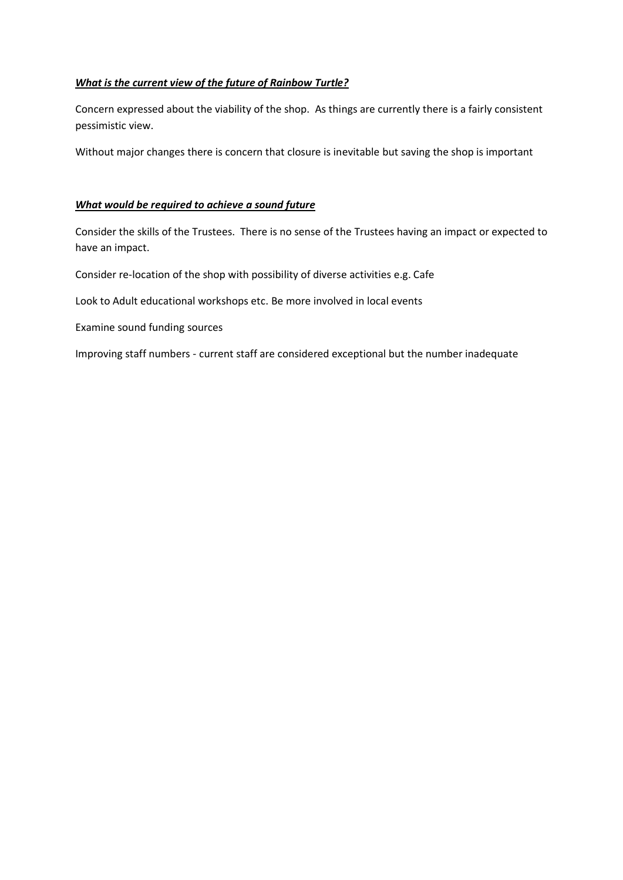## *What is the current view of the future of Rainbow Turtle?*

Concern expressed about the viability of the shop. As things are currently there is a fairly consistent pessimistic view.

Without major changes there is concern that closure is inevitable but saving the shop is important

## *What would be required to achieve a sound future*

Consider the skills of the Trustees. There is no sense of the Trustees having an impact or expected to have an impact.

Consider re-location of the shop with possibility of diverse activities e.g. Cafe

Look to Adult educational workshops etc. Be more involved in local events

Examine sound funding sources

Improving staff numbers - current staff are considered exceptional but the number inadequate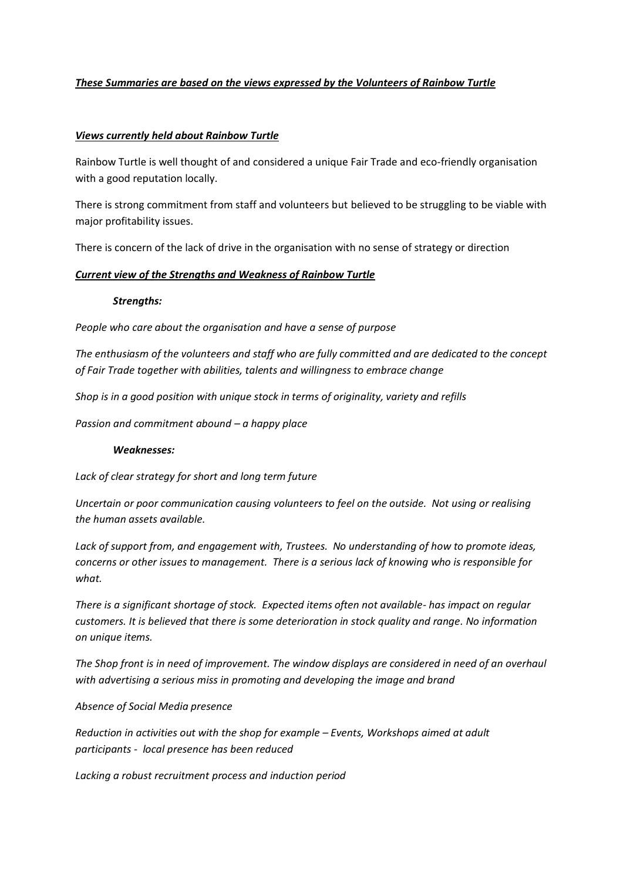## *These Summaries are based on the views expressed by the Volunteers of Rainbow Turtle*

## *Views currently held about Rainbow Turtle*

Rainbow Turtle is well thought of and considered a unique Fair Trade and eco-friendly organisation with a good reputation locally.

There is strong commitment from staff and volunteers but believed to be struggling to be viable with major profitability issues.

There is concern of the lack of drive in the organisation with no sense of strategy or direction

#### *Current view of the Strengths and Weakness of Rainbow Turtle*

#### *Strengths:*

*People who care about the organisation and have a sense of purpose*

*The enthusiasm of the volunteers and staff who are fully committed and are dedicated to the concept of Fair Trade together with abilities, talents and willingness to embrace change*

*Shop is in a good position with unique stock in terms of originality, variety and refills*

*Passion and commitment abound – a happy place*

#### *Weaknesses:*

*Lack of clear strategy for short and long term future*

*Uncertain or poor communication causing volunteers to feel on the outside. Not using or realising the human assets available.*

*Lack of support from, and engagement with, Trustees. No understanding of how to promote ideas, concerns or other issues to management. There is a serious lack of knowing who is responsible for what.*

*There is a significant shortage of stock. Expected items often not available- has impact on regular customers. It is believed that there is some deterioration in stock quality and range. No information on unique items.*

*The Shop front is in need of improvement. The window displays are considered in need of an overhaul with advertising a serious miss in promoting and developing the image and brand* 

*Absence of Social Media presence*

*Reduction in activities out with the shop for example – Events, Workshops aimed at adult participants - local presence has been reduced*

*Lacking a robust recruitment process and induction period*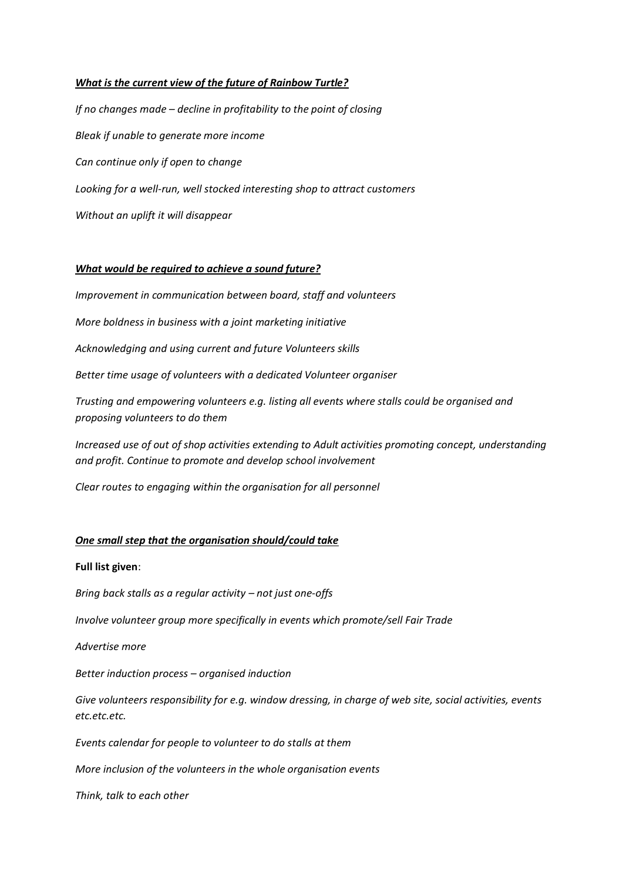#### *What is the current view of the future of Rainbow Turtle?*

*If no changes made – decline in profitability to the point of closing Bleak if unable to generate more income Can continue only if open to change Looking for a well-run, well stocked interesting shop to attract customers Without an uplift it will disappear* 

#### *What would be required to achieve a sound future?*

*Improvement in communication between board, staff and volunteers*

*More boldness in business with a joint marketing initiative*

*Acknowledging and using current and future Volunteers skills*

*Better time usage of volunteers with a dedicated Volunteer organiser*

*Trusting and empowering volunteers e.g. listing all events where stalls could be organised and proposing volunteers to do them*

*Increased use of out of shop activities extending to Adult activities promoting concept, understanding and profit. Continue to promote and develop school involvement* 

*Clear routes to engaging within the organisation for all personnel* 

# *One small step that the organisation should/could take*

## **Full list given**:

*Bring back stalls as a regular activity – not just one-offs* 

*Involve volunteer group more specifically in events which promote/sell Fair Trade*

*Advertise more*

*Better induction process – organised induction*

*Give volunteers responsibility for e.g. window dressing, in charge of web site, social activities, events etc.etc.etc.*

*Events calendar for people to volunteer to do stalls at them*

*More inclusion of the volunteers in the whole organisation events*

*Think, talk to each other*